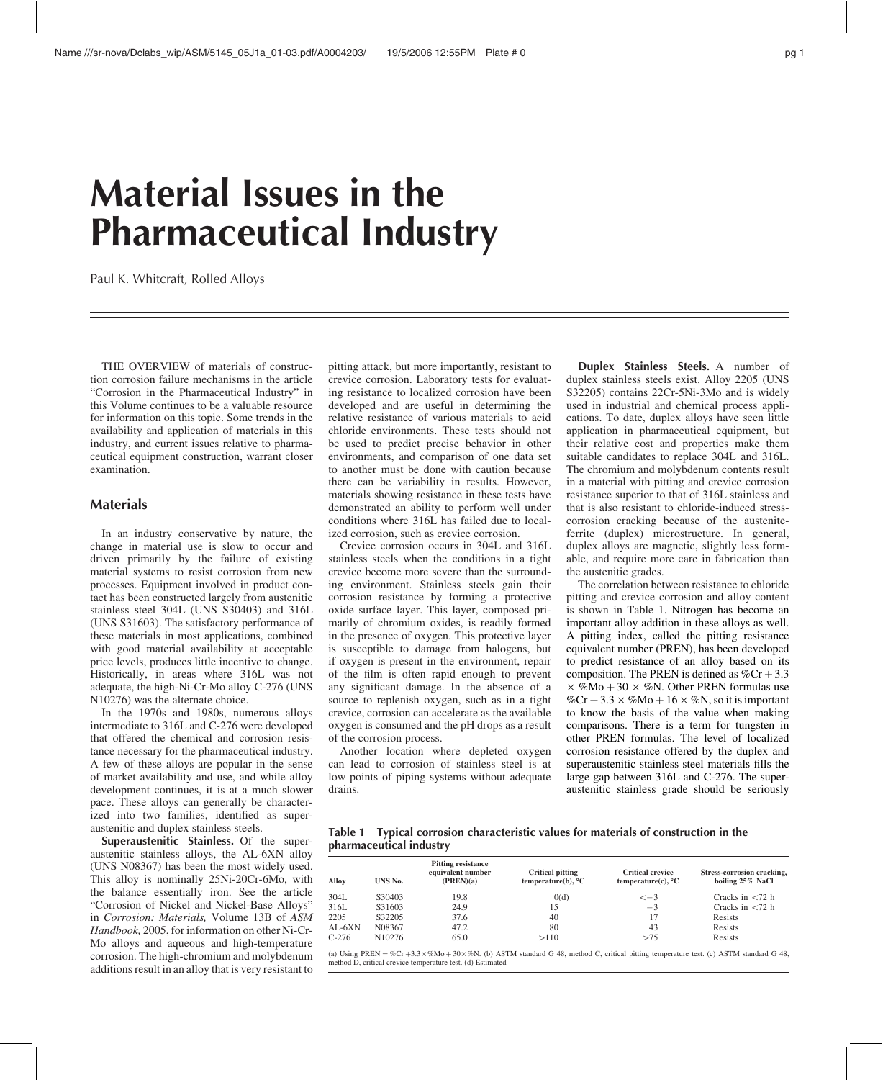# Material Issues in the Pharmaceutical Industry

Paul K. Whitcraft, Rolled Alloys

THE OVERVIEW of materials of construction corrosion failure mechanisms in the article "Corrosion in the Pharmaceutical Industry" in this Volume continues to be a valuable resource for information on this topic. Some trends in the availability and application of materials in this industry, and current issues relative to pharmaceutical equipment construction, warrant closer examination.

# Materials

In an industry conservative by nature, the change in material use is slow to occur and driven primarily by the failure of existing material systems to resist corrosion from new processes. Equipment involved in product contact has been constructed largely from austenitic stainless steel 304L (UNS S30403) and 316L (UNS S31603). The satisfactory performance of these materials in most applications, combined with good material availability at acceptable price levels, produces little incentive to change. Historically, in areas where 316L was not adequate, the high-Ni-Cr-Mo alloy C-276 (UNS N10276) was the alternate choice.

In the 1970s and 1980s, numerous alloys intermediate to 316L and C-276 were developed that offered the chemical and corrosion resistance necessary for the pharmaceutical industry. A few of these alloys are popular in the sense of market availability and use, and while alloy development continues, it is at a much slower pace. These alloys can generally be characterized into two families, identified as superaustenitic and duplex stainless steels.

Superaustenitic Stainless. Of the superaustenitic stainless alloys, the AL-6XN alloy (UNS N08367) has been the most widely used. This alloy is nominally 25Ni-20Cr-6Mo, with the balance essentially iron. See the article "Corrosion of Nickel and Nickel-Base Alloys" in Corrosion: Materials, Volume 13B of ASM Handbook, 2005, for information on other Ni-Cr-Mo alloys and aqueous and high-temperature corrosion. The high-chromium and molybdenum additions result in an alloy that is very resistant to

pitting attack, but more importantly, resistant to crevice corrosion. Laboratory tests for evaluating resistance to localized corrosion have been developed and are useful in determining the relative resistance of various materials to acid chloride environments. These tests should not be used to predict precise behavior in other environments, and comparison of one data set to another must be done with caution because there can be variability in results. However, materials showing resistance in these tests have demonstrated an ability to perform well under conditions where 316L has failed due to localized corrosion, such as crevice corrosion.

Crevice corrosion occurs in 304L and 316L stainless steels when the conditions in a tight crevice become more severe than the surrounding environment. Stainless steels gain their corrosion resistance by forming a protective oxide surface layer. This layer, composed primarily of chromium oxides, is readily formed in the presence of oxygen. This protective layer is susceptible to damage from halogens, but if oxygen is present in the environment, repair of the film is often rapid enough to prevent any significant damage. In the absence of a source to replenish oxygen, such as in a tight crevice, corrosion can accelerate as the available oxygen is consumed and the pH drops as a result of the corrosion process.

Another location where depleted oxygen can lead to corrosion of stainless steel is at low points of piping systems without adequate drains.

Duplex Stainless Steels. A number of duplex stainless steels exist. Alloy 2205 (UNS S32205) contains 22Cr-5Ni-3Mo and is widely used in industrial and chemical process applications. To date, duplex alloys have seen little application in pharmaceutical equipment, but their relative cost and properties make them suitable candidates to replace 304L and 316L. The chromium and molybdenum contents result in a material with pitting and crevice corrosion resistance superior to that of 316L stainless and that is also resistant to chloride-induced stresscorrosion cracking because of the austeniteferrite (duplex) microstructure. In general, duplex alloys are magnetic, slightly less formable, and require more care in fabrication than the austenitic grades.

The correlation between resistance to chloride pitting and crevice corrosion and alloy content is shown in Table 1. Nitrogen has become an important alloy addition in these alloys as well. A pitting index, called the pitting resistance equivalent number (PREN), has been developed to predict resistance of an alloy based on its composition. The PREN is defined as  $\%$ Cr + 3.3  $\times$  %Mo + 30  $\times$  %N. Other PREN formulas use %Cr + 3.3  $\times$  %Mo + 16  $\times$  %N, so it is important to know the basis of the value when making comparisons. There is a term for tungsten in other PREN formulas. The level of localized corrosion resistance offered by the duplex and superaustenitic stainless steel materials fills the large gap between 316L and C-276. The superaustenitic stainless grade should be seriously

Table 1 Typical corrosion characteristic values for materials of construction in the pharmaceutical industry

| Alloy    | UNS No.            | <b>Pitting resistance</b><br>equivalent number<br>(PREN)(a) | <b>Critical pitting</b><br>temperature(b), $^{\circ}$ C | <b>Critical crevice</b><br>temperature(c), $^{\circ}$ C | Stress-corrosion cracking,<br>boiling 25% NaCl |
|----------|--------------------|-------------------------------------------------------------|---------------------------------------------------------|---------------------------------------------------------|------------------------------------------------|
| 304L     | S30403             | 19.8                                                        | 0(d)                                                    | $\leq -3$                                               | Cracks in $\langle 72 \rangle$ h               |
| 316L     | S31603             | 24.9                                                        | 15                                                      | $-3$                                                    | Cracks in $\langle 72 \rangle$ h               |
| 2205     | S32205             | 37.6                                                        | 40                                                      | -17                                                     | Resists                                        |
| $AL-6XN$ | N08367             | 47.2                                                        | 80                                                      | 43                                                      | Resists                                        |
| $C-276$  | N <sub>10276</sub> | 65.0                                                        | >110                                                    | >75                                                     | Resists                                        |

(a) Using PREN = %Cr +3.3  $\times$  %Mo + 30  $\times$  %N. (b) ASTM standard G 48, method C, critical pitting temperature test. (c) ASTM standard G 48, method D, critical crevice temperature test. (d) Estimated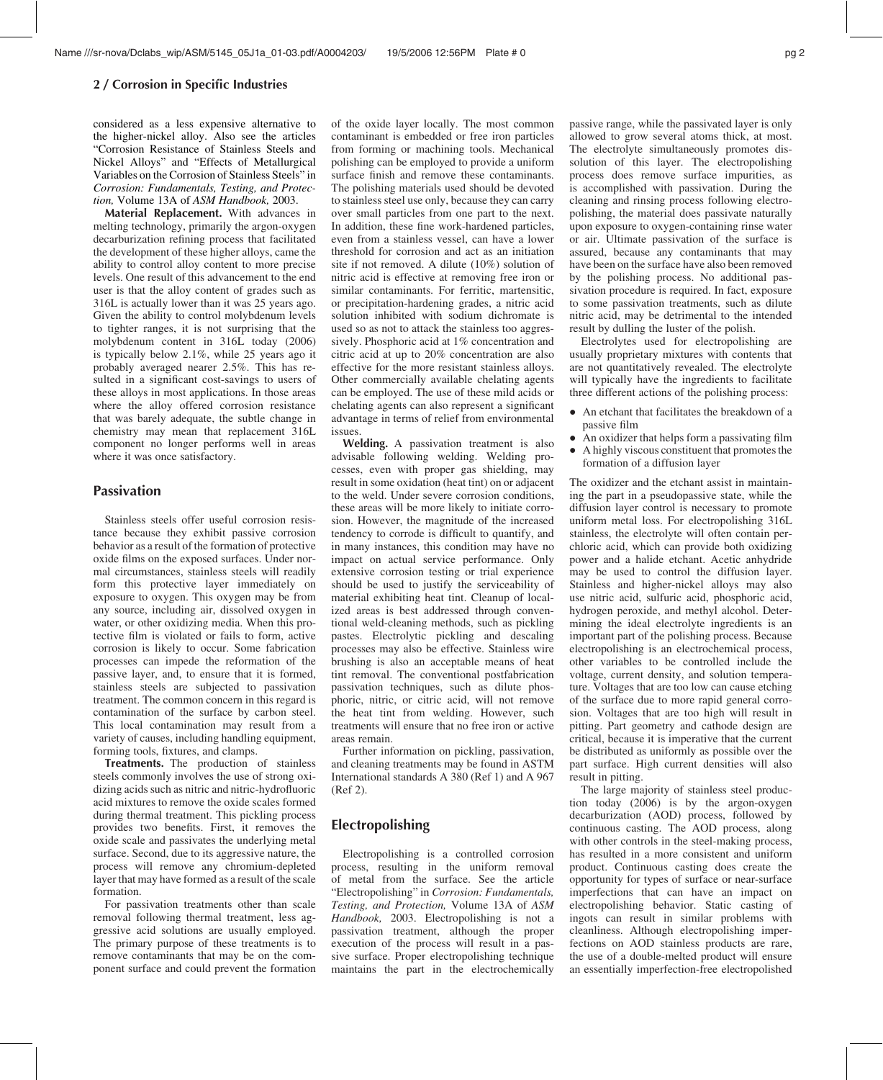#### 2 / Corrosion in Specific Industries

considered as a less expensive alternative to the higher-nickel alloy. Also see the articles "Corrosion Resistance of Stainless Steels and Nickel Alloys" and "Effects of Metallurgical Variables on the Corrosion of Stainless Steels" in Corrosion: Fundamentals, Testing, and Protection, Volume 13A of ASM Handbook, 2003.

Material Replacement. With advances in melting technology, primarily the argon-oxygen decarburization refining process that facilitated the development of these higher alloys, came the ability to control alloy content to more precise levels. One result of this advancement to the end user is that the alloy content of grades such as 316L is actually lower than it was 25 years ago. Given the ability to control molybdenum levels to tighter ranges, it is not surprising that the molybdenum content in 316L today (2006) is typically below 2.1%, while 25 years ago it probably averaged nearer 2.5%. This has resulted in a significant cost-savings to users of these alloys in most applications. In those areas where the alloy offered corrosion resistance that was barely adequate, the subtle change in chemistry may mean that replacement 316L component no longer performs well in areas where it was once satisfactory.

## **Passivation**

Stainless steels offer useful corrosion resistance because they exhibit passive corrosion behavior as a result of the formation of protective oxide films on the exposed surfaces. Under normal circumstances, stainless steels will readily form this protective layer immediately on exposure to oxygen. This oxygen may be from any source, including air, dissolved oxygen in water, or other oxidizing media. When this protective film is violated or fails to form, active corrosion is likely to occur. Some fabrication processes can impede the reformation of the passive layer, and, to ensure that it is formed, stainless steels are subjected to passivation treatment. The common concern in this regard is contamination of the surface by carbon steel. This local contamination may result from a variety of causes, including handling equipment, forming tools, fixtures, and clamps.

Treatments. The production of stainless steels commonly involves the use of strong oxidizing acids such as nitric and nitric-hydrofluoric acid mixtures to remove the oxide scales formed during thermal treatment. This pickling process provides two benefits. First, it removes the oxide scale and passivates the underlying metal surface. Second, due to its aggressive nature, the process will remove any chromium-depleted layer that may have formed as a result of the scale formation.

For passivation treatments other than scale removal following thermal treatment, less aggressive acid solutions are usually employed. The primary purpose of these treatments is to remove contaminants that may be on the component surface and could prevent the formation of the oxide layer locally. The most common contaminant is embedded or free iron particles from forming or machining tools. Mechanical polishing can be employed to provide a uniform surface finish and remove these contaminants. The polishing materials used should be devoted to stainless steel use only, because they can carry over small particles from one part to the next. In addition, these fine work-hardened particles, even from a stainless vessel, can have a lower threshold for corrosion and act as an initiation site if not removed. A dilute (10%) solution of nitric acid is effective at removing free iron or similar contaminants. For ferritic, martensitic, or precipitation-hardening grades, a nitric acid solution inhibited with sodium dichromate is used so as not to attack the stainless too aggressively. Phosphoric acid at 1% concentration and citric acid at up to 20% concentration are also effective for the more resistant stainless alloys. Other commercially available chelating agents can be employed. The use of these mild acids or chelating agents can also represent a significant advantage in terms of relief from environmental issues.

Welding. A passivation treatment is also advisable following welding. Welding processes, even with proper gas shielding, may result in some oxidation (heat tint) on or adjacent to the weld. Under severe corrosion conditions, these areas will be more likely to initiate corrosion. However, the magnitude of the increased tendency to corrode is difficult to quantify, and in many instances, this condition may have no impact on actual service performance. Only extensive corrosion testing or trial experience should be used to justify the serviceability of material exhibiting heat tint. Cleanup of localized areas is best addressed through conventional weld-cleaning methods, such as pickling pastes. Electrolytic pickling and descaling processes may also be effective. Stainless wire brushing is also an acceptable means of heat tint removal. The conventional postfabrication passivation techniques, such as dilute phosphoric, nitric, or citric acid, will not remove the heat tint from welding. However, such treatments will ensure that no free iron or active areas remain.

Further information on pickling, passivation, and cleaning treatments may be found in ASTM International standards A 380 (Ref 1) and A 967 (Ref 2).

## Electropolishing

Electropolishing is a controlled corrosion process, resulting in the uniform removal of metal from the surface. See the article "Electropolishing" in Corrosion: Fundamentals, Testing, and Protection, Volume 13A of ASM Handbook, 2003. Electropolishing is not a passivation treatment, although the proper execution of the process will result in a passive surface. Proper electropolishing technique maintains the part in the electrochemically passive range, while the passivated layer is only allowed to grow several atoms thick, at most. The electrolyte simultaneously promotes dissolution of this layer. The electropolishing process does remove surface impurities, as is accomplished with passivation. During the cleaning and rinsing process following electropolishing, the material does passivate naturally upon exposure to oxygen-containing rinse water or air. Ultimate passivation of the surface is assured, because any contaminants that may have been on the surface have also been removed by the polishing process. No additional passivation procedure is required. In fact, exposure to some passivation treatments, such as dilute nitric acid, may be detrimental to the intended result by dulling the luster of the polish.

Electrolytes used for electropolishing are usually proprietary mixtures with contents that are not quantitatively revealed. The electrolyte will typically have the ingredients to facilitate three different actions of the polishing process:

- An etchant that facilitates the breakdown of a passive film
- An oxidizer that helps form a passivating film
- $\bullet$  A highly viscous constituent that promotes the formation of a diffusion layer

The oxidizer and the etchant assist in maintaining the part in a pseudopassive state, while the diffusion layer control is necessary to promote uniform metal loss. For electropolishing 316L stainless, the electrolyte will often contain perchloric acid, which can provide both oxidizing power and a halide etchant. Acetic anhydride may be used to control the diffusion layer. Stainless and higher-nickel alloys may also use nitric acid, sulfuric acid, phosphoric acid, hydrogen peroxide, and methyl alcohol. Determining the ideal electrolyte ingredients is an important part of the polishing process. Because electropolishing is an electrochemical process, other variables to be controlled include the voltage, current density, and solution temperature. Voltages that are too low can cause etching of the surface due to more rapid general corrosion. Voltages that are too high will result in pitting. Part geometry and cathode design are critical, because it is imperative that the current be distributed as uniformly as possible over the part surface. High current densities will also result in pitting.

The large majority of stainless steel production today (2006) is by the argon-oxygen decarburization (AOD) process, followed by continuous casting. The AOD process, along with other controls in the steel-making process, has resulted in a more consistent and uniform product. Continuous casting does create the opportunity for types of surface or near-surface imperfections that can have an impact on electropolishing behavior. Static casting of ingots can result in similar problems with cleanliness. Although electropolishing imperfections on AOD stainless products are rare, the use of a double-melted product will ensure an essentially imperfection-free electropolished